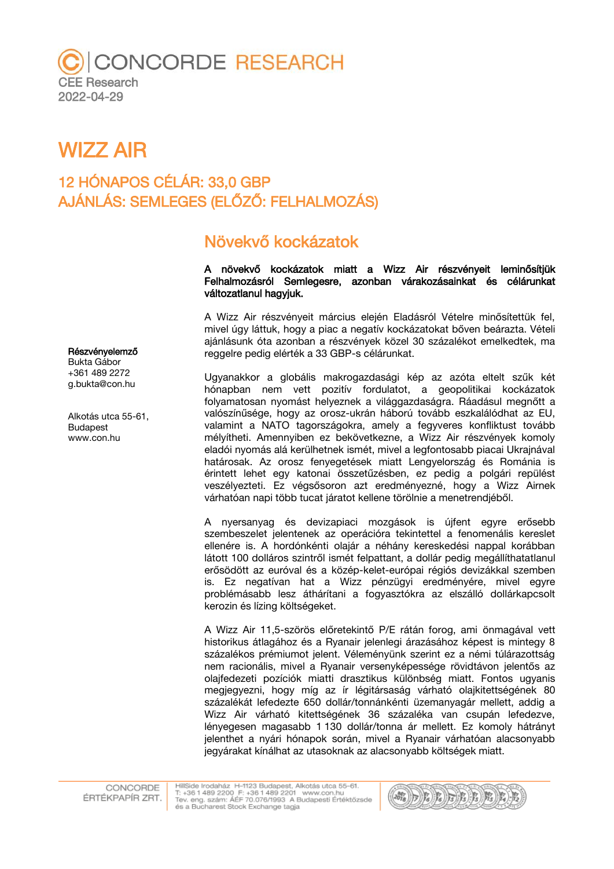# WIZZ AIR

# 12 HÓNAPOS CÉLÁR: 33,0 GBP AJÁNLÁS: SEMLEGES (ELŐZŐ: FELHALMOZÁS)

# Növekvő kockázatok

A növekvő kockázatok miatt a Wizz Air részvényeit leminősítjük Felhalmozásról Semlegesre, azonban várakozásainkat és célárunkat változatlanul hagyjuk.

A Wizz Air részvényeit március elején Eladásról Vételre minősítettük fel, mivel úgy láttuk, hogy a piac a negatív kockázatokat bőven beárazta. Vételi ajánlásunk óta azonban a részvények közel 30 százalékot emelkedtek, ma reggelre pedig elérték a 33 GBP-s célárunkat.

Ugyanakkor a globális makrogazdasági kép az azóta eltelt szűk két hónapban nem vett pozitív fordulatot, a geopolitikai kockázatok folyamatosan nyomást helyeznek a világgazdaságra. Ráadásul megnőtt a valószínűsége, hogy az orosz-ukrán háború tovább eszkalálódhat az EU, valamint a NATO tagországokra, amely a fegyveres konfliktust tovább mélyítheti. Amennyiben ez bekövetkezne, a Wizz Air részvények komoly eladói nyomás alá kerülhetnek ismét, mivel a legfontosabb piacai Ukrajnával határosak. Az orosz fenyegetések miatt Lengyelország és Románia is érintett lehet egy katonai összetűzésben, ez pedig a polgári repülést veszélyezteti. Ez végsősoron azt eredményezné, hogy a Wizz Airnek várhatóan napi több tucat járatot kellene törölnie a menetrendjéből.

A nyersanyag és devizapiaci mozgások is újfent egyre erősebb szembeszelet jelentenek az operációra tekintettel a fenomenális kereslet ellenére is. A hordónkénti olajár a néhány kereskedési nappal korábban látott 100 dolláros szintről ismét felpattant, a dollár pedig megállíthatatlanul erősödött az euróval és a közép-kelet-európai régiós devizákkal szemben is. Ez negatívan hat a Wizz pénzügyi eredményére, mivel egyre problémásabb lesz áthárítani a fogyasztókra az elszálló dollárkapcsolt kerozin és lízing költségeket.

A Wizz Air 11,5-szörös előretekintő P/E rátán forog, ami önmagával vett historikus átlagához és a Ryanair jelenlegi árazásához képest is mintegy 8 százalékos prémiumot jelent. Véleményünk szerint ez a némi túlárazottság nem racionális, mivel a Ryanair versenyképessége rövidtávon jelentős az olajfedezeti pozíciók miatti drasztikus különbség miatt. Fontos ugyanis megjegyezni, hogy míg az ír légitársaság várható olajkitettségének 80 százalékát lefedezte 650 dollár/tonnánkénti üzemanyagár mellett, addig a Wizz Air várható kitettségének 36 százaléka van csupán lefedezve, lényegesen magasabb 1 130 dollár/tonna ár mellett. Ez komoly hátrányt jelenthet a nyári hónapok során, mivel a Ryanair várhatóan alacsonyabb jegyárakat kínálhat az utasoknak az alacsonyabb költségek miatt.



Részvényelemző Bukta Gábor +361 489 2272 g.bukta@con.hu

Alkotás utca 55-61, Budapest www.con.hu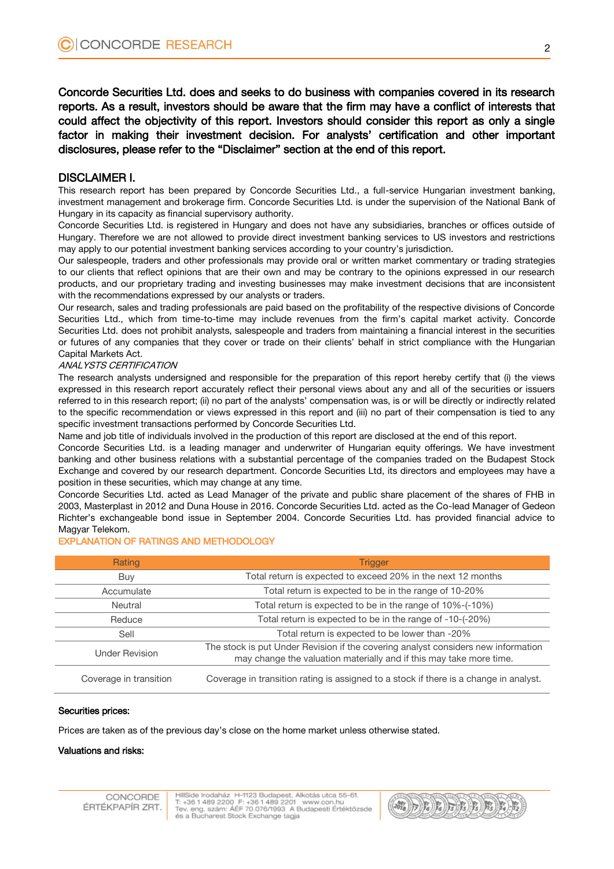Concorde Securities Ltd. does and seeks to do business with companies covered in its research reports. As a result, investors should be aware that the firm may have a conflict of interests that could affect the objectivity of this report. Investors should consider this report as only a single factor in making their investment decision. For analysts' certification and other important disclosures, please refer to the "Disclaimer" section at the end of this report.

# DISCLAIMER I.

This research report has been prepared by Concorde Securities Ltd., a full-service Hungarian investment banking, investment management and brokerage firm. Concorde Securities Ltd. is under the supervision of the National Bank of Hungary in its capacity as financial supervisory authority.

Concorde Securities Ltd. is registered in Hungary and does not have any subsidiaries, branches or offices outside of Hungary. Therefore we are not allowed to provide direct investment banking services to US investors and restrictions may apply to our potential investment banking services according to your country's jurisdiction.

Our salespeople, traders and other professionals may provide oral or written market commentary or trading strategies to our clients that reflect opinions that are their own and may be contrary to the opinions expressed in our research products, and our proprietary trading and investing businesses may make investment decisions that are inconsistent with the recommendations expressed by our analysts or traders.

Our research, sales and trading professionals are paid based on the profitability of the respective divisions of Concorde Securities Ltd., which from time-to-time may include revenues from the firm's capital market activity. Concorde Securities Ltd. does not prohibit analysts, salespeople and traders from maintaining a financial interest in the securities or futures of any companies that they cover or trade on their clients' behalf in strict compliance with the Hungarian Capital Markets Act.

### ANALYSTS CERTIFICATION

The research analysts undersigned and responsible for the preparation of this report hereby certify that (i) the views expressed in this research report accurately reflect their personal views about any and all of the securities or issuers referred to in this research report; (ii) no part of the analysts' compensation was, is or will be directly or indirectly related to the specific recommendation or views expressed in this report and (iii) no part of their compensation is tied to any specific investment transactions performed by Concorde Securities Ltd.

Name and job title of individuals involved in the production of this report are disclosed at the end of this report.

Concorde Securities Ltd. is a leading manager and underwriter of Hungarian equity offerings. We have investment banking and other business relations with a substantial percentage of the companies traded on the Budapest Stock Exchange and covered by our research department. Concorde Securities Ltd, its directors and employees may have a position in these securities, which may change at any time.

Concorde Securities Ltd. acted as Lead Manager of the private and public share placement of the shares of FHB in 2003, Masterplast in 2012 and Duna House in 2016. Concorde Securities Ltd. acted as the Co-lead Manager of Gedeon Richter's exchangeable bond issue in September 2004. Concorde Securities Ltd. has provided financial advice to Magyar Telekom.

## EXPLANATION OF RATINGS AND METHODOLOGY

| Rating                 | <b>Trigger</b>                                                                                                                                           |
|------------------------|----------------------------------------------------------------------------------------------------------------------------------------------------------|
| Buy                    | Total return is expected to exceed 20% in the next 12 months                                                                                             |
| Accumulate             | Total return is expected to be in the range of 10-20%                                                                                                    |
| Neutral                | Total return is expected to be in the range of 10%-(-10%)                                                                                                |
| Reduce                 | Total return is expected to be in the range of -10-(-20%)                                                                                                |
| Sell                   | Total return is expected to be lower than -20%                                                                                                           |
| <b>Under Revision</b>  | The stock is put Under Revision if the covering analyst considers new information<br>may change the valuation materially and if this may take more time. |
| Coverage in transition | Coverage in transition rating is assigned to a stock if there is a change in analyst.                                                                    |

#### Securities prices:

Prices are taken as of the previous day's close on the home market unless otherwise stated.

#### Valuations and risks: